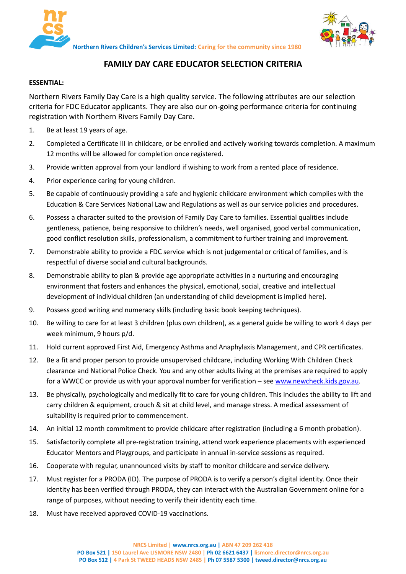



**Northern Rivers Children's Services Limited: Caring for the community since 1980**

## **FAMILY DAY CARE EDUCATOR SELECTION CRITERIA**

## **ESSENTIAL:**

Northern Rivers Family Day Care is a high quality service. The following attributes are our selection criteria for FDC Educator applicants. They are also our on-going performance criteria for continuing registration with Northern Rivers Family Day Care.

- 1. Be at least 19 years of age.
- 2. Completed a Certificate III in childcare, or be enrolled and actively working towards completion. A maximum 12 months will be allowed for completion once registered.
- 3. Provide written approval from your landlord if wishing to work from a rented place of residence.
- 4. Prior experience caring for young children.
- 5. Be capable of continuously providing a safe and hygienic childcare environment which complies with the Education & Care Services National Law and Regulations as well as our service policies and procedures.
- 6. Possess a character suited to the provision of Family Day Care to families. Essential qualities include gentleness, patience, being responsive to children's needs, well organised, good verbal communication, good conflict resolution skills, professionalism, a commitment to further training and improvement.
- 7. Demonstrable ability to provide a FDC service which is not judgemental or critical of families, and is respectful of diverse social and cultural backgrounds.
- 8. Demonstrable ability to plan & provide age appropriate activities in a nurturing and encouraging environment that fosters and enhances the physical, emotional, social, creative and intellectual development of individual children (an understanding of child development is implied here).
- 9. Possess good writing and numeracy skills (including basic book keeping techniques).
- 10. Be willing to care for at least 3 children (plus own children), as a general guide be willing to work 4 days per week minimum, 9 hours p/d.
- 11. Hold current approved First Aid, Emergency Asthma and Anaphylaxis Management, and CPR certificates.
- 12. Be a fit and proper person to provide unsupervised childcare, including Working With Children Check clearance and National Police Check. You and any other adults living at the premises are required to apply for a WWCC or provide us with your approval number for verification – se[e www.newcheck.kids.gov.au.](http://www.newcheck.kids.gov.au/)
- 13. Be physically, psychologically and medically fit to care for young children. This includes the ability to lift and carry children & equipment, crouch & sit at child level, and manage stress. A medical assessment of suitability is required prior to commencement.
- 14. An initial 12 month commitment to provide childcare after registration (including a 6 month probation).
- 15. Satisfactorily complete all pre-registration training, attend work experience placements with experienced Educator Mentors and Playgroups, and participate in annual in-service sessions as required.
- 16. Cooperate with regular, unannounced visits by staff to monitor childcare and service delivery.
- 17. Must register for a PRODA (ID). The purpose of PRODA is to verify a person's digital identity. Once their identity has been verified through PRODA, they can interact with the Australian Government online for a range of purposes, without needing to verify their identity each time.
- 18. Must have received approved COVID-19 vaccinations.